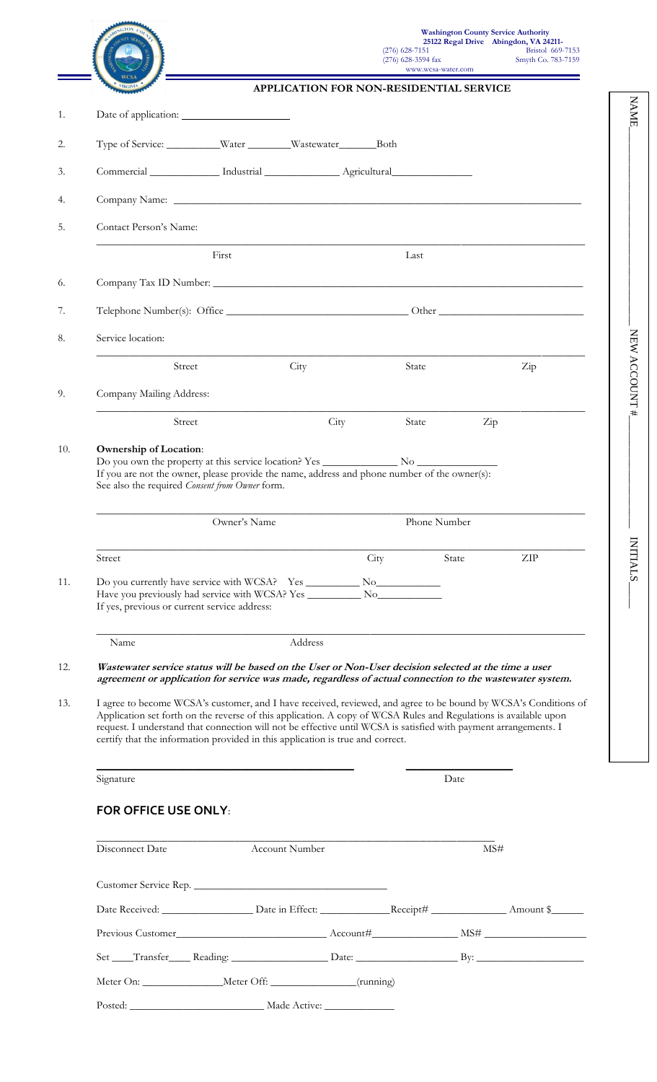|                                                                                                                                                                                                                                                                                                                                                                                                                                                                                                                                                                                                                                                               |                |      | www.wcsa-water.com<br>APPLICATION FOR NON-RESIDENTIAL SERVICE |                  |     |
|---------------------------------------------------------------------------------------------------------------------------------------------------------------------------------------------------------------------------------------------------------------------------------------------------------------------------------------------------------------------------------------------------------------------------------------------------------------------------------------------------------------------------------------------------------------------------------------------------------------------------------------------------------------|----------------|------|---------------------------------------------------------------|------------------|-----|
| Date of application:                                                                                                                                                                                                                                                                                                                                                                                                                                                                                                                                                                                                                                          |                |      |                                                               |                  |     |
|                                                                                                                                                                                                                                                                                                                                                                                                                                                                                                                                                                                                                                                               |                |      |                                                               |                  |     |
|                                                                                                                                                                                                                                                                                                                                                                                                                                                                                                                                                                                                                                                               |                |      |                                                               |                  |     |
| Commercial _____________ Industrial _______________ Agricultural________________                                                                                                                                                                                                                                                                                                                                                                                                                                                                                                                                                                              |                |      |                                                               |                  |     |
|                                                                                                                                                                                                                                                                                                                                                                                                                                                                                                                                                                                                                                                               |                |      |                                                               |                  |     |
| Contact Person's Name:                                                                                                                                                                                                                                                                                                                                                                                                                                                                                                                                                                                                                                        |                |      |                                                               |                  |     |
|                                                                                                                                                                                                                                                                                                                                                                                                                                                                                                                                                                                                                                                               | First          |      | Last                                                          |                  |     |
|                                                                                                                                                                                                                                                                                                                                                                                                                                                                                                                                                                                                                                                               |                |      |                                                               |                  |     |
|                                                                                                                                                                                                                                                                                                                                                                                                                                                                                                                                                                                                                                                               |                |      |                                                               |                  |     |
| Service location:                                                                                                                                                                                                                                                                                                                                                                                                                                                                                                                                                                                                                                             |                |      |                                                               |                  |     |
| Street                                                                                                                                                                                                                                                                                                                                                                                                                                                                                                                                                                                                                                                        | City           |      | State                                                         |                  | Zip |
| Company Mailing Address:                                                                                                                                                                                                                                                                                                                                                                                                                                                                                                                                                                                                                                      |                |      |                                                               |                  |     |
| Street                                                                                                                                                                                                                                                                                                                                                                                                                                                                                                                                                                                                                                                        |                | City | State                                                         | $\overline{Zip}$ |     |
|                                                                                                                                                                                                                                                                                                                                                                                                                                                                                                                                                                                                                                                               | Owner's Name   |      | Phone Number                                                  |                  |     |
|                                                                                                                                                                                                                                                                                                                                                                                                                                                                                                                                                                                                                                                               |                | City |                                                               | State            | ZIP |
|                                                                                                                                                                                                                                                                                                                                                                                                                                                                                                                                                                                                                                                               |                |      |                                                               |                  |     |
| <b>Ownership of Location:</b><br>If you are not the owner, please provide the name, address and phone number of the owner(s):<br>See also the required Consent from Owner form.<br>Street<br>Have you previously had service with WCSA? Yes __________________________________<br>If yes, previous or current service address:<br>Name                                                                                                                                                                                                                                                                                                                        | Address        |      |                                                               |                  |     |
|                                                                                                                                                                                                                                                                                                                                                                                                                                                                                                                                                                                                                                                               |                |      |                                                               |                  |     |
| Wastewater service status will be based on the User or Non-User decision selected at the time a user<br>agreement or application for service was made, regardless of actual connection to the wastewater system.<br>I agree to become WCSA's customer, and I have received, reviewed, and agree to be bound by WCSA's Conditions of<br>Application set forth on the reverse of this application. A copy of WCSA Rules and Regulations is available upon<br>request. I understand that connection will not be effective until WCSA is satisfied with payment arrangements. I<br>certify that the information provided in this application is true and correct. |                |      |                                                               |                  |     |
| Signature                                                                                                                                                                                                                                                                                                                                                                                                                                                                                                                                                                                                                                                     |                |      |                                                               | Date             |     |
| <b>FOR OFFICE USE ONLY:</b>                                                                                                                                                                                                                                                                                                                                                                                                                                                                                                                                                                                                                                   |                |      |                                                               |                  |     |
| Disconnect Date                                                                                                                                                                                                                                                                                                                                                                                                                                                                                                                                                                                                                                               | Account Number |      |                                                               | MS#              |     |
|                                                                                                                                                                                                                                                                                                                                                                                                                                                                                                                                                                                                                                                               |                |      |                                                               |                  |     |
| Customer Service Rep.                                                                                                                                                                                                                                                                                                                                                                                                                                                                                                                                                                                                                                         |                |      |                                                               |                  |     |
|                                                                                                                                                                                                                                                                                                                                                                                                                                                                                                                                                                                                                                                               |                |      |                                                               |                  |     |